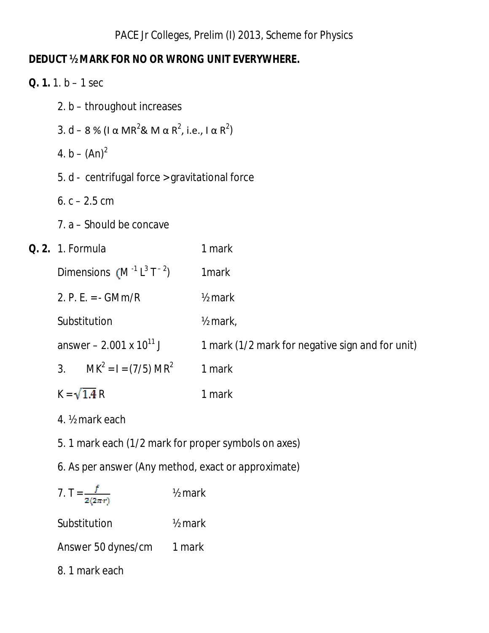## *DEDUCT ½ MARK FOR NO OR WRONG UNIT EVERYWHERE.*

| <b>Q.</b> 1. 1. $b - 1$ sec                                                                         |                    |                                                  |  |  |
|-----------------------------------------------------------------------------------------------------|--------------------|--------------------------------------------------|--|--|
| 2. b - throughout increases                                                                         |                    |                                                  |  |  |
| 3. d – 8 % ( $\alpha$ MR <sup>2</sup> & M $\alpha$ R <sup>2</sup> , i.e., $\alpha$ R <sup>2</sup> ) |                    |                                                  |  |  |
| 4. b – $(An)^2$                                                                                     |                    |                                                  |  |  |
| 5. d - centrifugal force > gravitational force                                                      |                    |                                                  |  |  |
| 6. $c - 2.5$ cm                                                                                     |                    |                                                  |  |  |
| 7. a – Should be concave                                                                            |                    |                                                  |  |  |
| <b>Q. 2.</b> 1. Formula                                                                             |                    | 1 mark                                           |  |  |
| Dimensions $(M^{-1}L^3T^{-2})$                                                                      |                    | 1 <sub>mark</sub>                                |  |  |
| 2. P. E. = $-GMm/R$                                                                                 |                    | $\frac{1}{2}$ mark                               |  |  |
| Substitution                                                                                        |                    | $\frac{1}{2}$ mark,                              |  |  |
| answer – 2.001 x $10^{11}$ J                                                                        |                    | 1 mark (1/2 mark for negative sign and for unit) |  |  |
| $MK2 = I = (7/5) MR2$<br>3 <sub>1</sub>                                                             |                    | 1 mark                                           |  |  |
| $K = \sqrt{1.4} R$                                                                                  |                    | 1 mark                                           |  |  |
| 4. 1/ <sub>2</sub> mark each                                                                        |                    |                                                  |  |  |
| 5. 1 mark each (1/2 mark for proper symbols on axes)                                                |                    |                                                  |  |  |
| 6. As per answer (Any method, exact or approximate)                                                 |                    |                                                  |  |  |
| 7. $T = \frac{f}{2(2\pi r)}$                                                                        | $1/2$ mark         |                                                  |  |  |
| Substitution                                                                                        | $\frac{1}{2}$ mark |                                                  |  |  |
| Answer 50 dynes/cm                                                                                  | 1 mark             |                                                  |  |  |

8. 1 mark each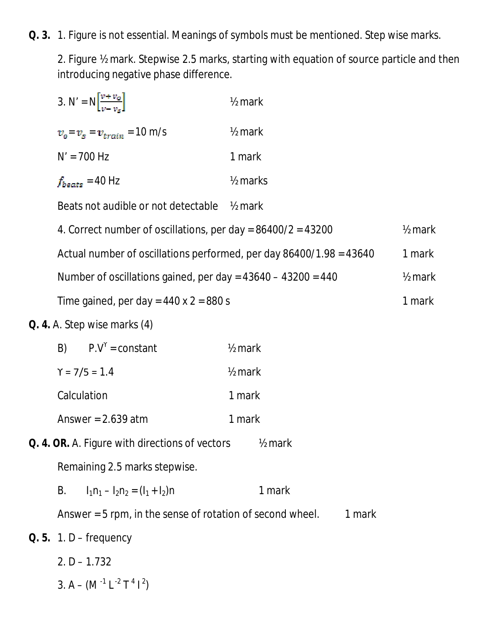## *Q. 3.* 1. Figure is not essential. Meanings of symbols must be mentioned. Step wise marks.

2. Figure ½ mark. Stepwise 2.5 marks, starting with equation of source particle and then introducing negative phase difference.

|    | 3. N' = $N\left[\frac{v + v_o}{v - v_s}\right]$                  | 1/ <sub>2</sub> mark                                                |                    |
|----|------------------------------------------------------------------|---------------------------------------------------------------------|--------------------|
|    | $v_o = v_s = v_{train} = 10 \text{ m/s}$                         | $\frac{1}{2}$ mark                                                  |                    |
|    | $N' = 700$ Hz                                                    | 1 mark                                                              |                    |
|    | $f_{beats}$ = 40 Hz                                              | 1/ <sub>2</sub> marks                                               |                    |
|    | Beats not audible or not detectable                              | $\frac{1}{2}$ mark                                                  |                    |
|    | 4. Correct number of oscillations, per day = $86400/2$ = $43200$ |                                                                     | $1/2$ mark         |
|    |                                                                  | Actual number of oscillations performed, per day 86400/1.98 = 43640 | 1 mark             |
|    | Number of oscillations gained, per day = $43640 - 43200 = 440$   |                                                                     | $\frac{1}{2}$ mark |
|    | Time gained, per day = $440 \times 2 = 880 \text{ s}$            |                                                                     | 1 mark             |
|    | <b>Q. 4.</b> A. Step wise marks (4)                              |                                                                     |                    |
| B) | $P.V^{\gamma}$ = constant                                        | $\frac{1}{2}$ mark                                                  |                    |
|    | $Y = 7/5 = 1.4$                                                  | $\frac{1}{2}$ mark                                                  |                    |
|    | Calculation                                                      | 1 mark                                                              |                    |
|    | Answer = $2.639$ atm                                             | 1 mark                                                              |                    |
|    | Q. 4. OR. A. Figure with directions of vectors                   | $\frac{1}{2}$ mark                                                  |                    |
|    | Remaining 2.5 marks stepwise.                                    |                                                                     |                    |
| В. | $I_1n_1 - I_2n_2 = (I_1 + I_2)n$                                 | 1 mark                                                              |                    |
|    | Answer $=$ 5 rpm, in the sense of rotation of second wheel.      | 1 mark                                                              |                    |
|    | <b><i>Q. 5.</i></b> 1. D – frequency                             |                                                                     |                    |
|    | $2. D - 1.732$                                                   |                                                                     |                    |
|    | 3. A – $(M^{-1}L^{-2}T^4I^2)$                                    |                                                                     |                    |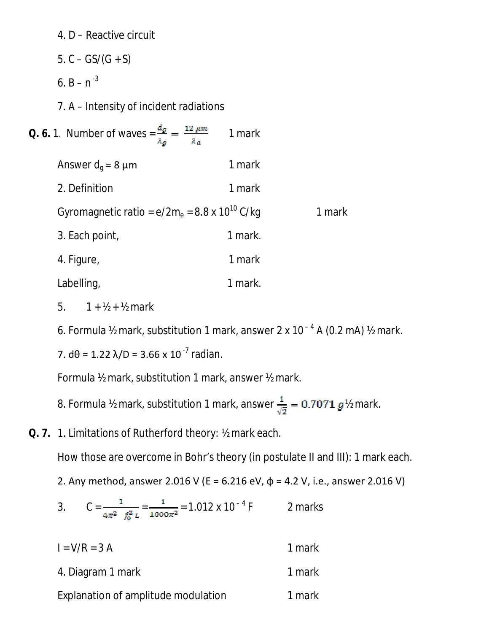- 4. D Reactive circuit
- 5.  $C GS/(G + S)$
- 6.  $B n^{-3}$
- 7. A Intensity of incident radiations

| <b><i>Q. 6.</i></b> 1. Number of waves = $\frac{d_g}{\lambda_g} = \frac{12 \mu m}{\lambda_a}$ | 1 mark  |        |
|-----------------------------------------------------------------------------------------------|---------|--------|
| Answer $d_q$ = 8 $\mu$ m                                                                      | 1 mark  |        |
| 2. Definition                                                                                 | 1 mark  |        |
| Gyromagnetic ratio = $e/2m_e$ = 8.8 x 10 <sup>10</sup> C/kg                                   |         | 1 mark |
| 3. Each point,                                                                                | 1 mark. |        |
| 4. Figure,                                                                                    | 1 mark  |        |
| Labelling,                                                                                    | 1 mark. |        |

5.  $1 + \frac{1}{2} + \frac{1}{2}$  mark

6. Formula ½ mark, substitution 1 mark, answer 2 x 10 $^{-4}$  A (0.2 mA) ½ mark.

7. d $\theta$  = 1.22  $\lambda/D$  = 3.66 x 10<sup>-7</sup> radian.

Formula ½ mark, substitution 1 mark, answer ½ mark.

- 8. Formula ½ mark, substitution 1 mark, answer  $\frac{1}{\sqrt{2}} = 0.7071 g$  % mark.
- *Q. 7.* 1. Limitations of Rutherford theory: ½ mark each.

How those are overcome in Bohr's theory (in postulate II and III): 1 mark each.

2. Any method, answer 2.016 V (E = 6.216 eV,  $\phi$  = 4.2 V, i.e., answer 2.016 V)

3. 
$$
C = \frac{1}{4\pi^2 f_0^2 L} = \frac{1}{1000\pi^2} = 1.012 \times 10^{-4} F
$$
 2 marks

| $I = V/R = 3 A$                     | 1 mark |
|-------------------------------------|--------|
| 4. Diagram 1 mark                   | 1 mark |
| Explanation of amplitude modulation | 1 mark |